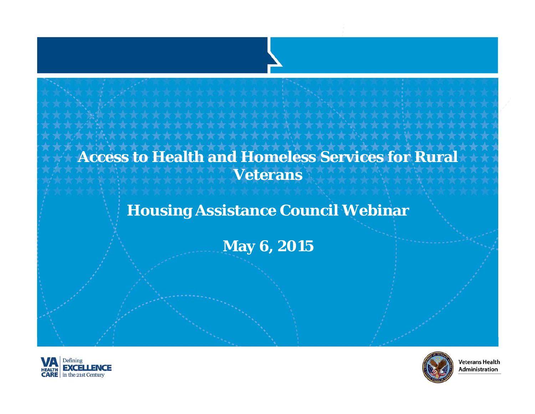## **Access to Health and Homeless Services for Rural Veterans**

### **Housing Assistance Council Webinar**

**May 6, 2015**





**Veterans Health** Administration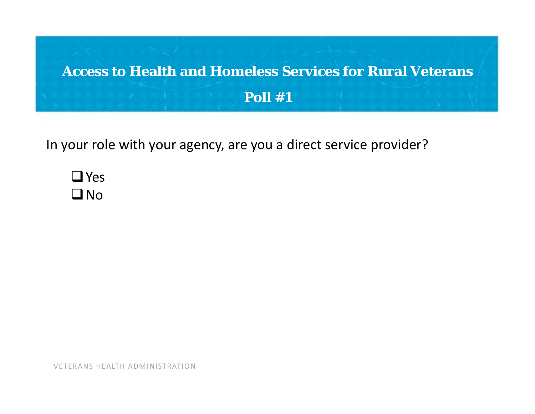

In your role with your agency, are you <sup>a</sup> direct service provider?

 $\square$  Yes  $\square$  No

VETERANS HEALTH ADMINISTRATION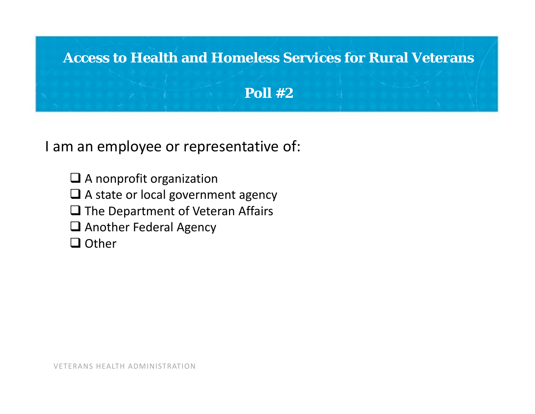

II am an employee or representative of:

- $\square$  A nonprofit organization
- $\Box$  A state or local government agency
- $\Box$  The Department of Veteran Affairs
- Another Federal Agency
- **□** Other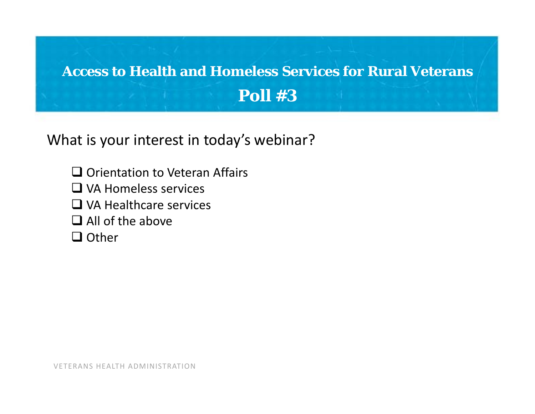

What is your interest in today's webinar?

- $\square$  Orientation to Veteran Affairs
- VA Homeless services
- □ VA Healthcare services
- $\Box$  All of the above
- **□** Other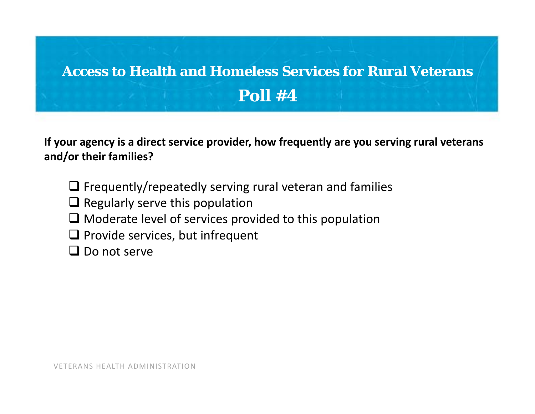# **Access to Health and Homeless Services for Rural Veterans Poll #4**

**If your agency is <sup>a</sup> direct service provider, how frequently are you serving rural veterans and/or their families?**

- $\Box$  Frequently/repeatedly serving rural veteran and families
- $\Box$  Regularly serve this population
- $\Box$  Moderate level of services provided to this population
- $\Box$  Provide services, but infrequent
- $\square$  Do not serve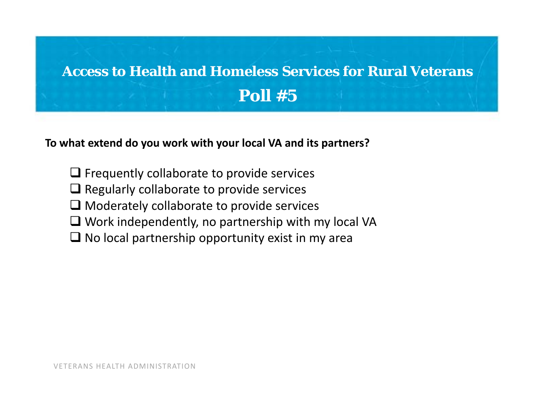## **Access to Health and Homeless Services for Rural Veterans Poll #5**

**To what extend do you work with your local VA and its partners?**

- $\Box$  Frequently collaborate to provide services
- $\Box$  Regularly collaborate to provide services
- $\Box$  Moderately collaborate to provide services
- Work independently, no partnership with my local VA
- $\Box$  No local partnership opportunity exist in my area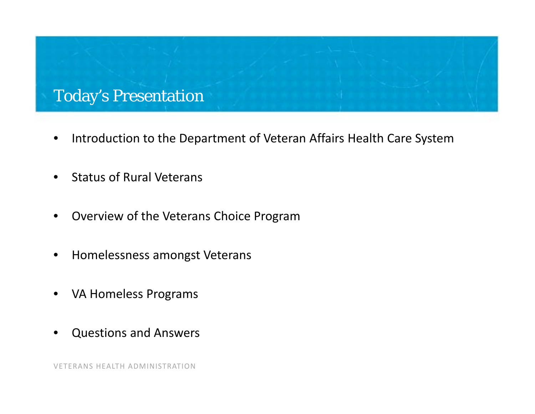### Today's Presentation

- •• Introduction to the Department of Veteran Affairs Health Care System
- $\bullet$ • Status of Rural Veterans
- $\bullet$ Overview of the Veterans Choice Program
- $\bullet$ **•** Homelessness amongst Veterans
- $\bullet$ VA Homeless Programs
- •Questions and Answers

VETERANS HEALTH ADMINISTRATION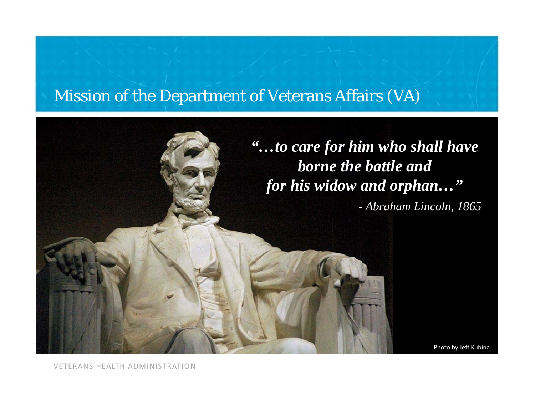### Mission of the Department of Veterans Affairs (VA)



VETERANS HEALTH ADMINISTRATION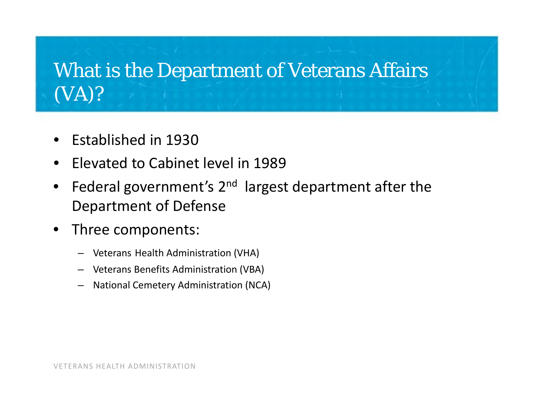# What is the Department of Veterans Affairs (VA)?

- •**•** Established in 1930
- •**•** Elevated to Cabinet level in 1989
- $\bullet$ Federal government's 2<sup>nd</sup> largest department after the Department of Defense
- • Three components:
	- Veterans Health Administration (VHA)
	- Veterans Benefits Administration (VBA)
	- National Cemetery Administration (NCA)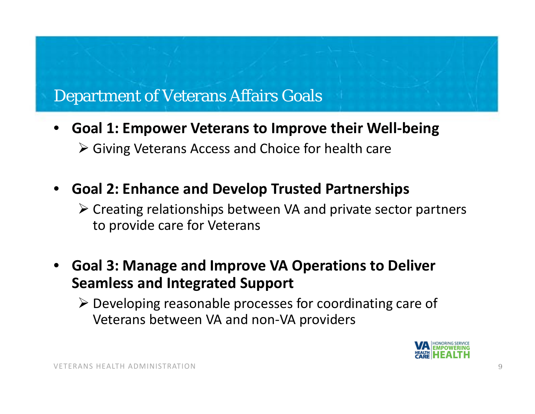### Department of Veterans Affairs Goals

- • **Goal 1: Empower Veterans to Improve their Well‐being**
	- Giving Veterans Access and Choice for health care
- • **Goal 2: Enhance and Develop Trusted Partnerships**
	- Creating relationships between VA and private sector partners to provide care for Veterans
- • **Goal 3: Manage and Improve VA Operations to Deliver Seamless and Integrated Support**
	- Developing reasonable processes for coordinating care of Veterans between VA and non‐VA providers

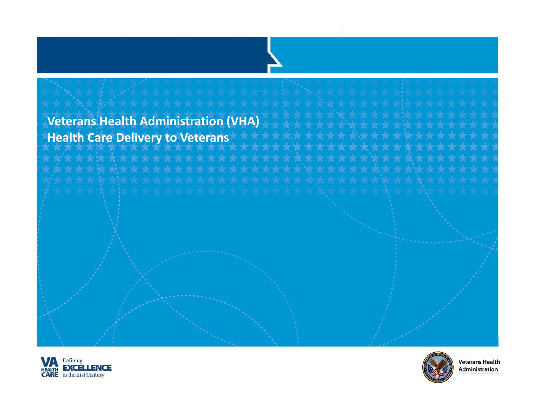### **Veterans Health Administration (VHA) Health Care Delivery to Veterans**





**Veterans Health** Administration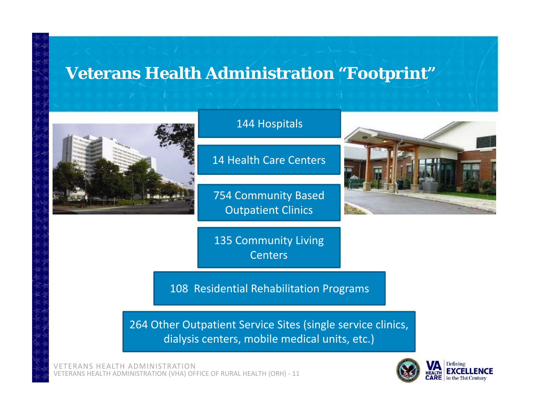### **Veterans Health Administration "Footprint"**



### 144 Hospitals

14 Health Care Centers

754 Community Based Outpatient Clinics

135 Community Living Centers

108 Residential Rehabilitation Programs

264 Other Outpatient Service Sites (single service clinics, dialysis centers, mobile medical units, etc.)

VETERANS HEALTH ADMINISTRATIONVETERANS HEALTH ADMINISTRATION (VHA) OFFICE OF RURAL HEALTH (ORH) ‐ 11



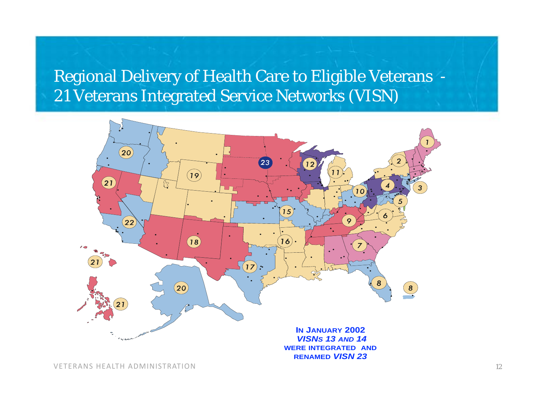Regional Delivery of Health Care to Eligible Veterans - 21 Veterans Integrated Service Networks (VISN)

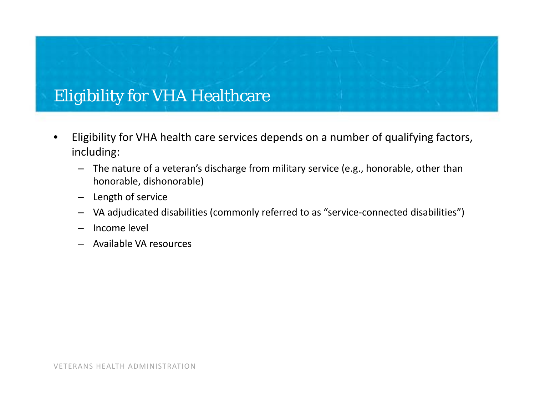## Eligibility for VHA Healthcare

- • Eligibility for VHA health care services depends on <sup>a</sup> number of qualifying factors, including:
	- The nature of <sup>a</sup> veteran's discharge from military service (e.g., honorable, other than honorable, dishonorable)
	- –Length of service
	- VA adjudicated disabilities (commonly referred to as "service‐connected disabilities")
	- Income level
	- Available VA resources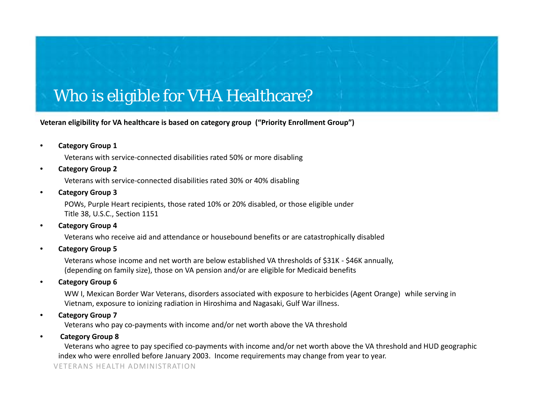### Who is eligible for VHA Healthcare?

**Veteran eligibility for VA healthcare is based on category group ("Priority Enrollment Group")**

•**Category Group 1**

Veterans with service‐connected disabilities rated 50% or more disabling

•**Category Group 2**

Veterans with service‐connected disabilities rated 30% or 40% disabling

•**Category Group 3**

> POWs, Purple Heart recipients, those rated 10% or 20% disabled, or those eligible under Title 38, U.S.C., Section 1151

•**Category Group 4**

Veterans who receive aid and attendance or housebound benefits or are catastrophically disabled

•**Category Group 5**

> Veterans whose income and net worth are below established VA thresholds of \$31K ‐ \$46K annually, (depending on family size), those on VA pension and/or are eligible for Medicaid benefits

•**Category Group 6**

> WW I, Mexican Border War Veterans, disorders associated with exposure to herbicides (Agent Orange) while serving in Vietnam, exposure to ionizing radiation in Hiroshima and Nagasaki, Gulf War illness.

•**Category Group 7**

Veterans who pay co‐payments with income and/or net worth above the VA threshold

•**Category Group 8**

> Veterans who agree to pay specified co‐payments with income and/or net worth above the VA threshold and HUD geographic index who were enrolled before January 2003. Income requirements may change from year to year.

VETERANS HEALTH ADMINISTRATION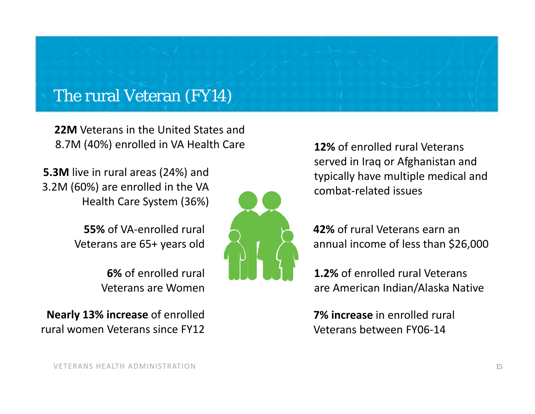### The rural Veteran (FY14)

**22M** Veterans in the United States and 8.7M (40%) enrolled in VA Health Care

**5.3M** live in rural areas (24%) and 3.2M (60%) are enrolled in the VA Health Care System (36%)

> **55%** of VA‐enrolled rural Veterans are 65+ years old

> > **6%** of enrolled rural Veterans are Women

**Nearly 13% increase** of enrolled rural women Veterans since FY12



**12%** of enrolled rural Veterans served in Iraq or Afghanistan and typically have multiple medical and combat‐related issues

**42%** of rural Veterans earn an annual income of less than \$26,000

**1.2%** of enrolled rural Veterans are American Indian/Alaska Native

**7% increase** in enrolled rural Veterans between FY06‐14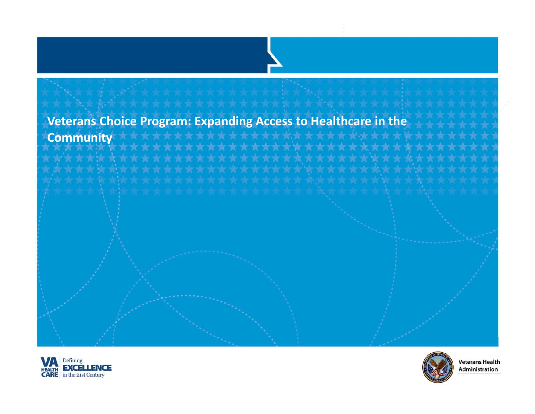### **Veterans Choice Program: Expanding Access to Healthcare in the Community**







**Veterans Health** Administration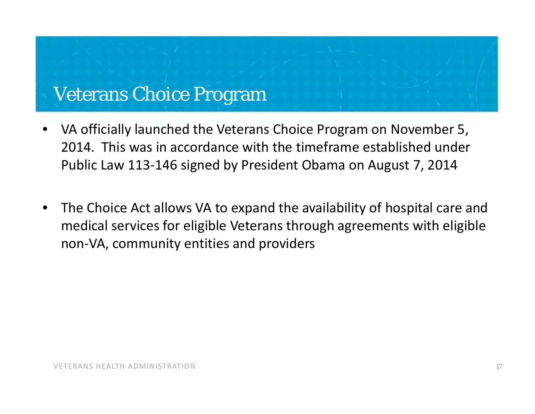## Veterans Choice Program

- • VA officially launched the Veterans Choice Program on November 5, 2014. This was in accordance with the timeframe established under Public Law 113‐146 signed by President Obama on August 7, 2014
- • The Choice Act allows VA to expand the availability of hospital care and medical services for eligible Veterans through agreements with eligible non‐VA, community entities and providers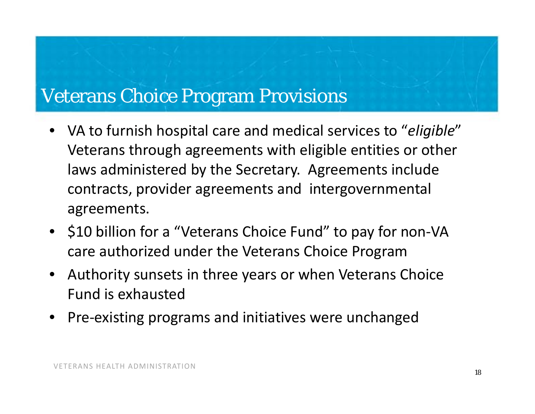## Veterans Choice Program Provisions

- VA to furnish hospital care and medical services to "*eligible*" Veterans through agreements with eligible entities or other laws administered by the Secretary. Agreements include contracts, provider agreements and intergovernmental agreements.
- \$10 billion for a "Veterans Choice Fund" to pay for non-VA care authorized under the Veterans Choice Program
- Authority sunsets in three years or when Veterans Choice Fund is exhausted
- •Pre‐existing programs and initiatives were unchanged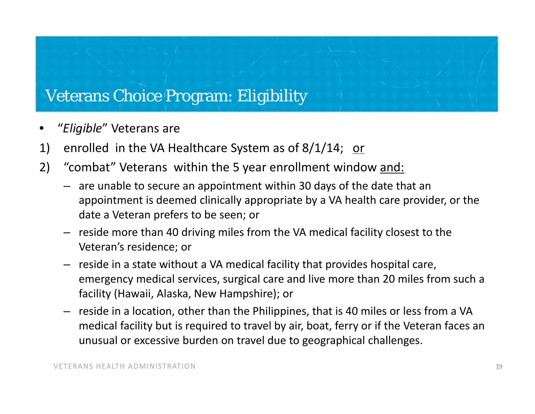### Veterans Choice Program: Eligibility

- •"*Eligible*" Veterans are
- 1) enrolled in the VA Healthcare System as of 8/1/14; or
- 2) "combat" Veterans within the 5 year enrollment window and:
	- are unable to secure an appointment within 30 days of the date that an appointment is deemed clinically appropriate by <sup>a</sup> VA health care provider, or the date a Veteran prefers to be seen; or
	- reside more than 40 driving miles from the VA medical facility closest to the Veteran's residence; or
	- reside in <sup>a</sup> state without <sup>a</sup> VA medical facility that provides hospital care, emergency medical services, surgical care and live more than 20 miles from such <sup>a</sup> facility (Hawaii, Alaska, New Hampshire); or
	- reside in <sup>a</sup> location, other than the Philippines, that is 40 miles or less from <sup>a</sup> VA medical facility but is required to travel by air, boat, ferry or if the Veteran faces an unusual or excessive burden on travel due to geographical challenges.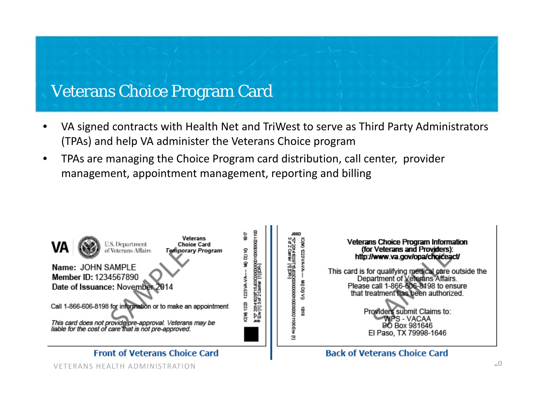## Veterans Choice Program Card

- • VA signed contracts with Health Net and TriWest to serve as Third Party Administrators (TPAs) and help VA administer the Veterans Choice program
- • TPAs are managing the Choice Program card distribution, call center, provider management, appointment management, reporting and billing

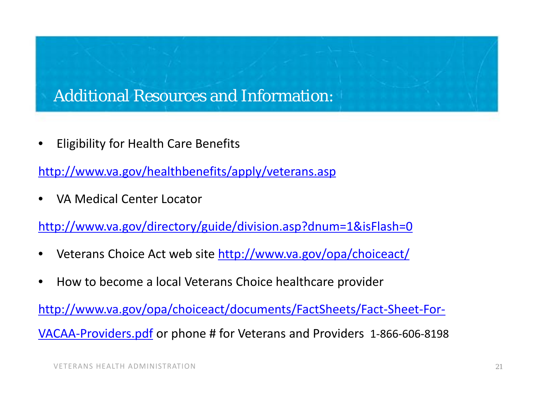### Additional Resources and Information:

•Eligibility for Health Care Benefits

http://www.va.gov/healthbenefits/apply/veterans.asp

•VA Medical Center Locator

http://www.va.gov/directory/guide/division.asp?dnum=1&isFlash=0

- •• Veterans Choice Act web site http://www.va.gov/opa/choiceact/
- •• How to become a local Veterans Choice healthcare provider

http://www.va.gov/opa/choiceact/documents/FactSheets/Fact-Sheet-For-VACAA‐Providers.pdf or phone # for Veterans and Providers <sup>1</sup>‐866‐606‐<sup>8198</sup>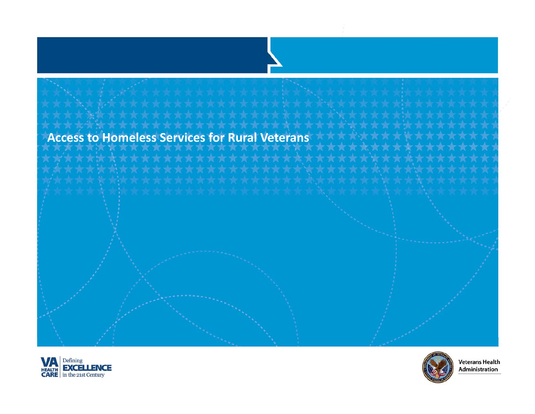### **Access to Homeless Services for Rural Veterans**





**Veterans Health** Administration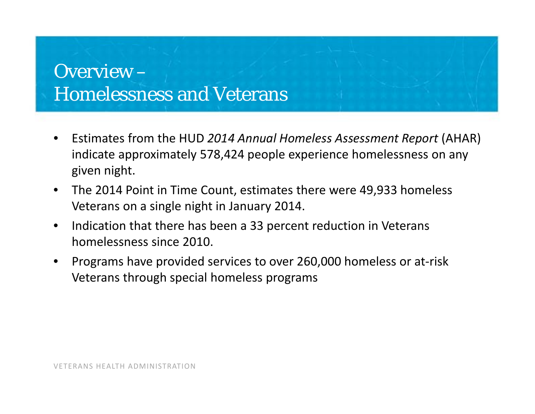## Overview –Homelessness and Veterans

- • Estimates from the HUD *2014 Annual Homeless Assessment Report* (AHAR) indicate approximately 578,424 people experience homelessness on any given night.
- • The 2014 Point in Time Count, estimates there were 49,933 homeless Veterans on <sup>a</sup> single night in January 2014.
- $\bullet$  $\bullet$  Indication that there has been a 33 percent reduction in Veterans homelessness since 2010.
- • Programs have provided services to over 260,000 homeless or at‐risk Veterans through special homeless programs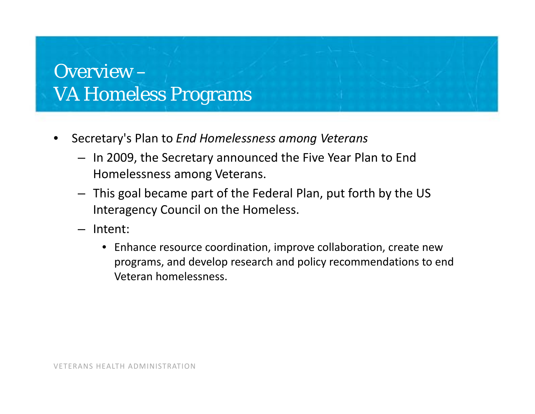- • Secretary's Plan to *End Homelessness among Veterans*
	- In 2009, the Secretary announced the Five Year Plan to End Homelessness among Veterans.
	- This goal became part of the Federal Plan, put forth by the US Interagency Council on the Homeless.
	- Intent:
		- Enhance resource coordination, improve collaboration, create new programs, and develop research and policy recommendations to end Veteran homelessness.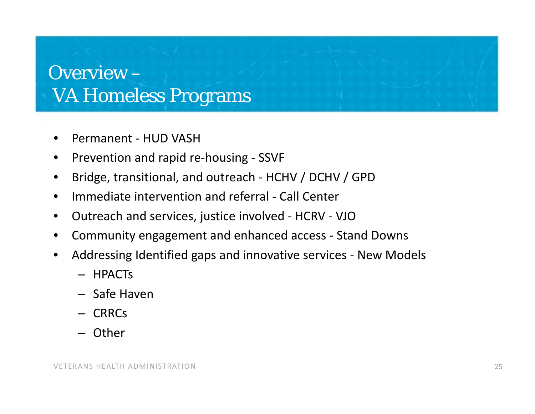- •● Permanent - HUD VASH
- •● Prevention and rapid re-housing - SSVF
- •Bridge, transitional, and outreach ‐ HCHV / DCHV / GPD
- •● Immediate intervention and referral - Call Center
- •Outreach and services, justice involved ‐ HCRV ‐ VJO
- •Community engagement and enhanced access ‐ Stand Downs
- • Addressing Identified gaps and innovative services ‐ New Models
	- HPACTs
	- Safe Haven
	- CRRCs
	- Other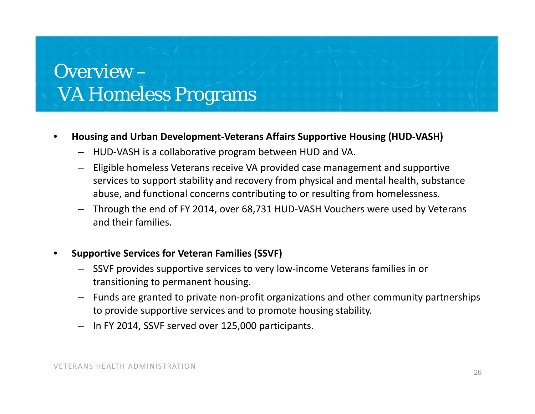#### •**Housing and Urban Development‐Veterans Affairs Supportive Housing (HUD‐VASH)**

- HUD‐VASH is <sup>a</sup> collaborative program between HUD and VA.
- Eligible homeless Veterans receive VA provided case management and supportive services to support stability and recovery from physical and mental health, substance abuse, and functional concerns contributing to or resulting from homelessness.
- Through the end of FY 2014, over 68,731 HUD‐VASH Vouchers were used by Veterans and their families.
- • **Supportive Services for Veteran Families (SSVF)**
	- SSVF provides supportive services to very low‐income Veterans families in or transitioning to permanent housing.
	- Funds are granted to private non‐profit organizations and other community partnerships to provide supportive services and to promote housing stability.
	- In FY 2014, SSVF served over 125,000 participants.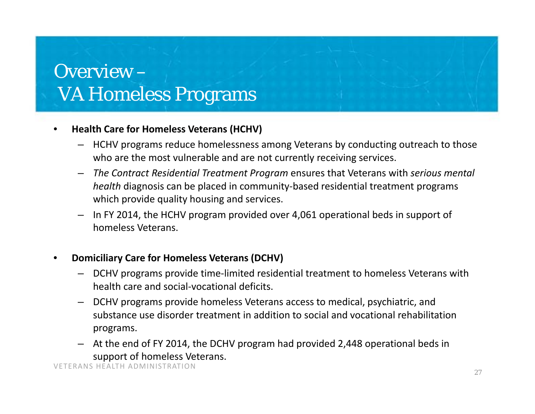#### •**Health Care for Homeless Veterans (HCHV)**

- HCHV programs reduce homelessness among Veterans by conducting outreach to those who are the most vulnerable and are not currently receiving services.
- – *The Contract Residential Treatment Program* ensures that Veterans with *serious mental health* diagnosis can be placed in community‐based residential treatment programs which provide quality housing and services.
- In FY 2014, the HCHV program provided over 4,061 operational beds in support of homeless Veterans.
- • **Domiciliary Care for Homeless Veterans (DCHV)**
	- DCHV programs provide time‐limited residential treatment to homeless Veterans with health care and social‐vocational deficits.
	- DCHV programs provide homeless Veterans access to medical, psychiatric, and substance use disorder treatment in addition to social and vocational rehabilitation programs.
	- At the end of FY 2014, the DCHV program had provided 2,448 operational beds in support of homeless Veterans.

VETERANS HEALTH ADMINISTRATION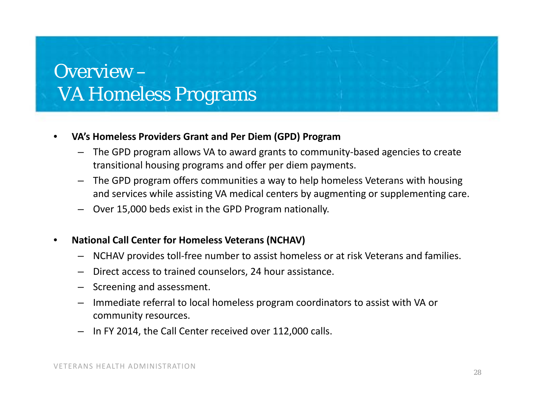#### •**VA's Homeless Providers Grant and Per Diem (GPD) Program**

- The GPD program allows VA to award grants to community‐based agencies to create transitional housing programs and offer per diem payments.
- The GPD program offers communities <sup>a</sup> way to help homeless Veterans with housing and services while assisting VA medical centers by augmenting or supplementing care.
- Over 15,000 beds exist in the GPD Program nationally.
- • **National Call Center for Homeless Veterans (NCHAV)**
	- NCHAV provides toll‐free number to assist homeless or at risk Veterans and families.
	- Direct access to trained counselors, 24 hour assistance.
	- Screening and assessment.
	- Immediate referral to local homeless program coordinators to assist with VA or community resources.
	- In FY 2014, the Call Center received over 112,000 calls.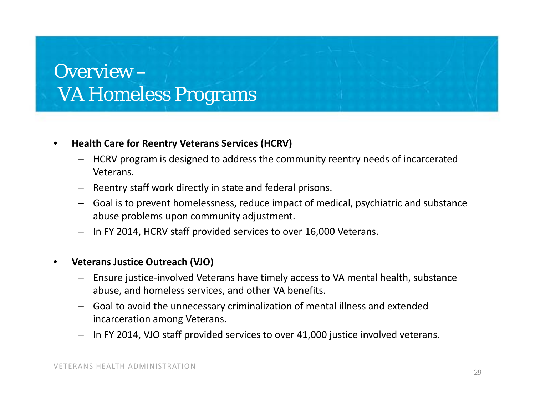#### •**Health Care for Reentry Veterans Services (HCRV)**

- $-$  HCRV program is designed to address the community reentry needs of incarcerated Veterans.
- Reentry staff work directly in state and federal prisons.
- Goal is to prevent homelessness, reduce impact of medical, psychiatric and substance abuse problems upon community adjustment.
- In FY 2014, HCRV staff provided services to over 16,000 Veterans.

#### •**Veterans Justice Outreach (VJO)**

- Ensure justice‐involved Veterans have timely access to VA mental health, substance abuse, and homeless services, and other VA benefits.
- Goal to avoid the unnecessary criminalization of mental illness and extended incarceration among Veterans.
- In FY 2014, VJO staff provided services to over 41,000 justice involved veterans.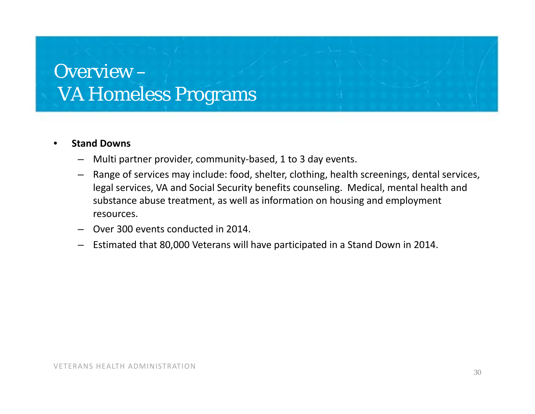#### •**Stand Downs**

- Multi partner provider, community‐based, 1 to 3 day events.
- Range of services may include: food, shelter, clothing, health screenings, dental services, legal services, VA and Social Security benefits counseling. Medical, mental health and substance abuse treatment, as well as information on housing and employment resources.
- Over 300 events conducted in 2014.
- Estimated that 80,000 Veterans will have participated in <sup>a</sup> Stand Down in 2014.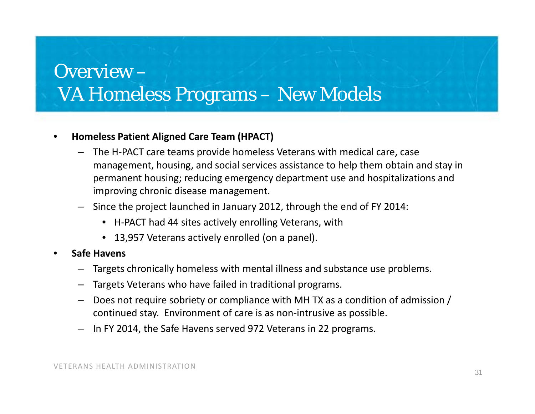## Overview –VA Homeless Programs – New Models

#### •**Homeless Patient Aligned Care Team (HPACT)**

- The H‐PACT care teams provide homeless Veterans with medical care, case management, housing, and social services assistance to help them obtain and stay in permanent housing; reducing emergency department use and hospitalizations and improving chronic disease management.
- Since the project launched in January 2012, through the end of FY 2014:
	- H‐PACT had 44 sites actively enrolling Veterans, with
	- 13,957 Veterans actively enrolled (on <sup>a</sup> panel).
- •**•** Safe Havens
	- Targets chronically homeless with mental illness and substance use problems.
	- Targets Veterans who have failed in traditional programs.
	- Does not require sobriety or compliance with MH TX as <sup>a</sup> condition of admission / continued stay. Environment of care is as non‐intrusive as possible.
	- In FY 2014, the Safe Havens served 972 Veterans in 22 programs.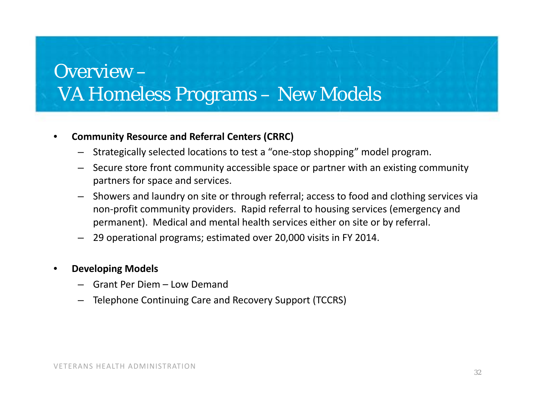## Overview –VA Homeless Programs – New Models

#### •**Community Resource and Referral Centers (CRRC)**

- Strategically selected locations to test <sup>a</sup> "one‐stop shopping" model program.
- Secure store front community accessible space or partner with an existing community partners for space and services.
- Showers and laundry on site or through referral; access to food and clothing services via non‐profit community providers. Rapid referral to housing services (emergency and permanent). Medical and mental health services either on site or by referral.
- 29 operational programs; estimated over 20,000 visits in FY 2014.

#### •**Developing Models**

- Grant Per Diem Low Demand
- Telephone Continuing Care and Recovery Support (TCCRS)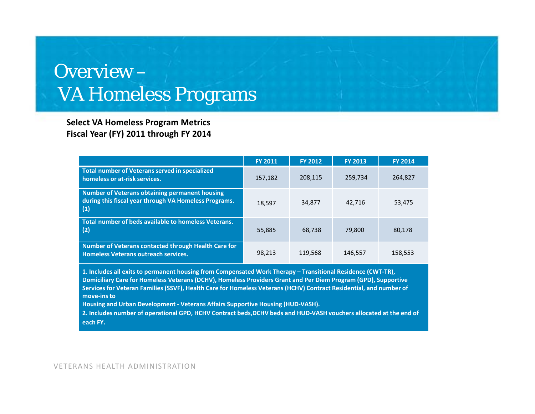**Select VA Homeless Program Metrics Fiscal Year (FY) 2011 through FY 2014**

|                                                                                                                                                                                                                                       | <b>FY 2011</b> | <b>FY 2012</b> | <b>FY 2013</b> | <b>FY 2014</b> |  |
|---------------------------------------------------------------------------------------------------------------------------------------------------------------------------------------------------------------------------------------|----------------|----------------|----------------|----------------|--|
| Total number of Veterans served in specialized<br>homeless or at-risk services.                                                                                                                                                       | 157,182        | 208,115        | 259.734        | 264,827        |  |
| Number of Veterans obtaining permanent housing<br>during this fiscal year through VA Homeless Programs.<br>(1)                                                                                                                        | 18,597         | 34,877         | 42,716         | 53,475         |  |
| Total number of beds available to homeless Veterans.<br>(2)                                                                                                                                                                           | 55,885         | 68,738         | 79,800         | 80,178         |  |
| Number of Veterans contacted through Health Care for<br><b>Homeless Veterans outreach services.</b>                                                                                                                                   | 98,213         | 119,568        | 146,557        | 158,553        |  |
| 1. Includes all exits to permanent housing from Compensated Work Therapy – Transitional Residence (CWT-TR),<br>المستقرئ والمستقرات والمستقر والمستقر والمستقر والمستقر والمستقر والمستقر والمستقر والمستقر والمستقر والمستقر والمستقر |                |                |                |                |  |

**Domiciliary Care for Homeless Veterans (DCHV), Homeless Providers Grant and Per Diem Program (GPD), Supportive** Services for Veteran Families (SSVF), Health Care for Homeless Veterans (HCHV) Contract Residential, and number of **move‐ins to**

**Housing and Urban Development ‐ Veterans Affairs Supportive Housing (HUD‐VASH).**

2. Includes number of operational GPD, HCHV Contract beds,DCHV beds and HUD-VASH vouchers allocated at the end of **each FY.**

VETERANS HEALTH ADMINISTRATION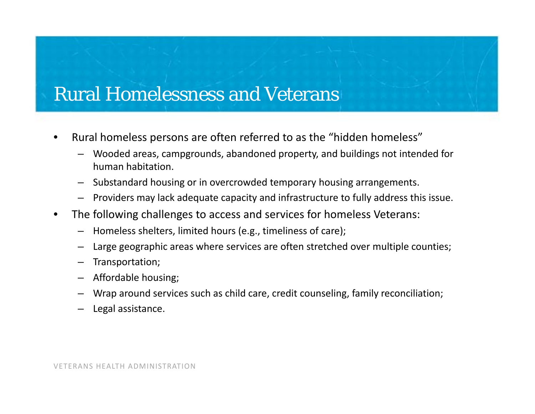## Rural Homelessness and Veterans

- •• Rural homeless persons are often referred to as the "hidden homeless"
	- Wooded areas, campgrounds, abandoned property, and buildings not intended for human habitation.
	- Substandard housing or in overcrowded temporary housing arrangements.
	- Providers may lack adequate capacity and infrastructure to fully address this issue.
- $\bullet$  The following challenges to access and services for homeless Veterans:
	- Homeless shelters, limited hours (e.g., timeliness of care);
	- Large geographic areas where services are often stretched over multiple counties;
	- Transportation;
	- Affordable housing;
	- Wrap around services such as child care, credit counseling, family reconciliation;
	- Legal assistance.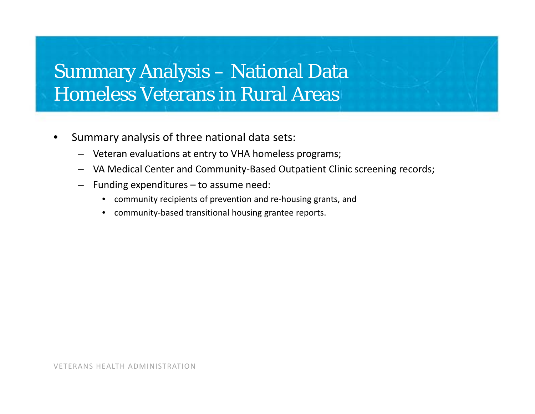- • Summary analysis of three national data sets:
	- Veteran evaluations at entry to VHA homeless programs;
	- VA Medical Center and Community‐Based Outpatient Clinic screening records;
	- Funding expenditures to assume need:
		- community recipients of prevention and re‐housing grants, and
		- community‐based transitional housing grantee reports.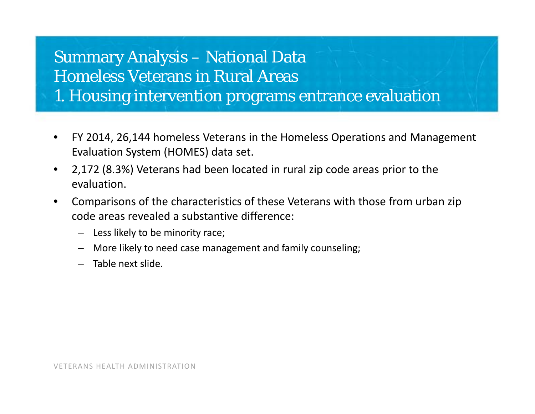1. Housing intervention programs entrance evaluation

- $\bullet$  FY 2014, 26,144 homeless Veterans in the Homeless Operations and Management Evaluation System (HOMES) data set.
- • 2,172 (8.3%) Veterans had been located in rural zip code areas prior to the evaluation.
- • Comparisons of the characteristics of these Veterans with those from urban zip code areas revealed <sup>a</sup> substantive difference:
	- Less likely to be minority race;
	- More likely to need case management and family counseling;
	- Table next slide.

VETERANS HEALTH ADMINISTRATION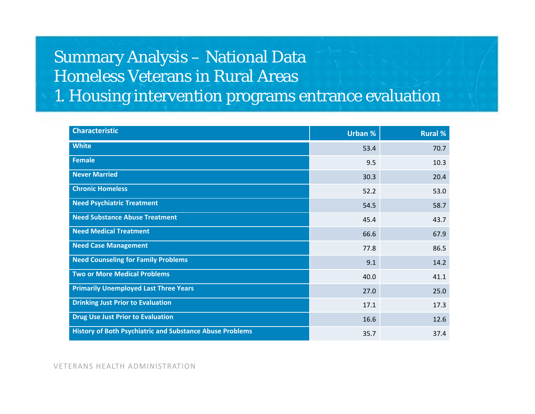1. Housing intervention programs entrance evaluation

| <b>Characteristic</b>                                           | <b>Urban %</b> | <b>Rural %</b> |
|-----------------------------------------------------------------|----------------|----------------|
| <b>White</b>                                                    | 53.4           | 70.7           |
| <b>Female</b>                                                   | 9.5            | 10.3           |
| <b>Never Married</b>                                            | 30.3           | 20.4           |
| <b>Chronic Homeless</b>                                         | 52.2           | 53.0           |
| <b>Need Psychiatric Treatment</b>                               | 54.5           | 58.7           |
| <b>Need Substance Abuse Treatment</b>                           | 45.4           | 43.7           |
| <b>Need Medical Treatment</b>                                   | 66.6           | 67.9           |
| <b>Need Case Management</b>                                     | 77.8           | 86.5           |
| <b>Need Counseling for Family Problems</b>                      | 9.1            | 14.2           |
| <b>Two or More Medical Problems</b>                             | 40.0           | 41.1           |
| <b>Primarily Unemployed Last Three Years</b>                    | 27.0           | 25.0           |
| <b>Drinking Just Prior to Evaluation</b>                        | 17.1           | 17.3           |
| <b>Drug Use Just Prior to Evaluation</b>                        | 16.6           | 12.6           |
| <b>History of Both Psychiatric and Substance Abuse Problems</b> | 35.7           | 37.4           |

VETERANS HEALTH ADMINISTRATION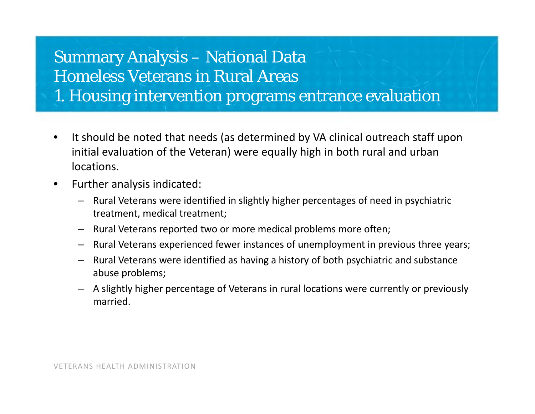1. Housing intervention programs entrance evaluation

- $\bullet$ • It should be noted that needs (as determined by VA clinical outreach staff upon initial evaluation of the Veteran) were equally high in both rural and urban locations.
- $\bullet$  Further analysis indicated:
	- Rural Veterans were identified in slightly higher percentages of need in psychiatric treatment, medical treatment;
	- Rural Veterans reported two or more medical problems more often;
	- Rural Veterans experienced fewer instances of unemployment in previous three years;
	- Rural Veterans were identified as having <sup>a</sup> history of both psychiatric and substance abuse problems;
	- A slightly higher percentage of Veterans in rural locations were currently or previously married.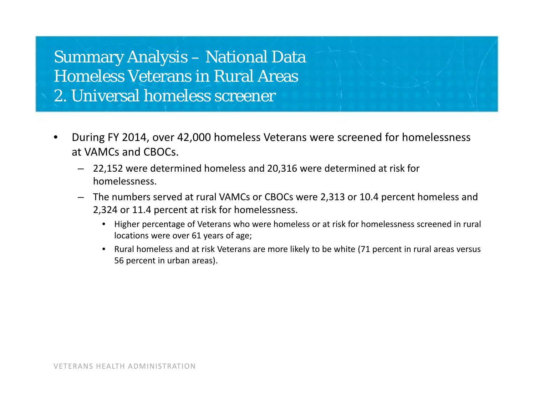Summary Analysis – National Data Homeless Veterans in Rural Areas 2. Universal homeless screener

- • During FY 2014, over 42,000 homeless Veterans were screened for homelessness at VAMCs and CBOCs.
	- 22,152 were determined homeless and 20,316 were determined at risk for homelessness.
	- The numbers served at rural VAMCs or CBOCs were 2,313 or 10.4 percent homeless and 2,324 or 11.4 percent at risk for homelessness.
		- Higher percentage of Veterans who were homeless or at risk for homelessness screened in rural locations were over 61 years of age;
		- Rural homeless and at risk Veterans are more likely to be white (71 percent in rural areas versus 56 percent in urban areas).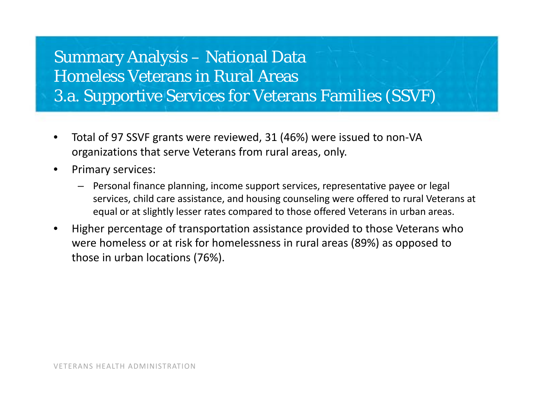### Summary Analysis – National Data Homeless Veterans in Rural Areas 3.a. Supportive Services for Veterans Families (SSVF)

- • Total of 97 SSVF grants were reviewed, 31 (46%) were issued to non‐VA organizations that serve Veterans from rural areas, only.
- • Primary services:
	- Personal finance planning, income support services, representative payee or legal services, child care assistance, and housing counseling were offered to rural Veterans at equal or at slightly lesser rates compared to those offered Veterans in urban areas.
- • Higher percentage of transportation assistance provided to those Veterans who were homeless or at risk for homelessness in rural areas (89%) as opposed to those in urban locations (76%).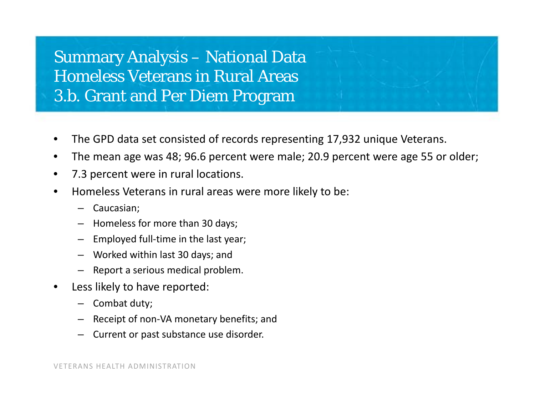### Summary Analysis – National Data Homeless Veterans in Rural Areas 3.b. Grant and Per Diem Program

- •The GPD data set consisted of records representing 17,932 unique Veterans.
- •The mean age was 48; 96.6 percent were male; 20.9 percent were age 55 or older;
- •7.3 percent were in rural locations.
- • Homeless Veterans in rural areas were more likely to be:
	- Caucasian;
	- Homeless for more than 30 days;
	- Employed full-time in the last year;
	- Worked within last 30 days; and
	- Report <sup>a</sup> serious medical problem.
- • Less likely to have reported:
	- Combat duty;
	- Receipt of non‐VA monetary benefits; and
	- Current or past substance use disorder.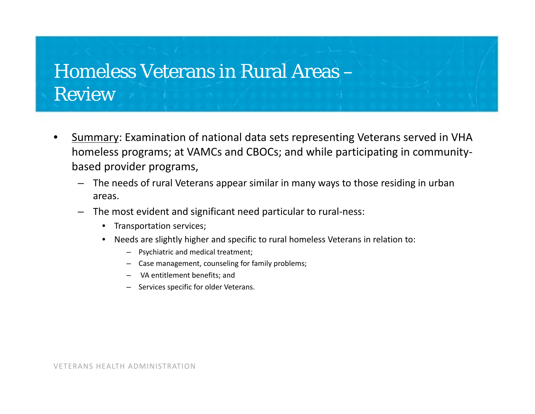## Homeless Veterans in Rural Areas – Review

- • Summary: Examination of national data sets representing Veterans served in VHA homeless programs; at VAMCs and CBOCs; and while participating in community‐ based provider programs,
	- The needs of rural Veterans appear similar in many ways to those residing in urban areas.
	- The most evident and significant need particular to rural‐ness:
		- $\bullet$ Transportation services;
		- $\bullet$  Needs are slightly higher and specific to rural homeless Veterans in relation to:
			- Psychiatric and medical treatment;
			- Case management, counseling for family problems;
			- VA entitlement benefits; and
			- Services specific for older Veterans.

VETERANS HEALTH ADMINISTRATION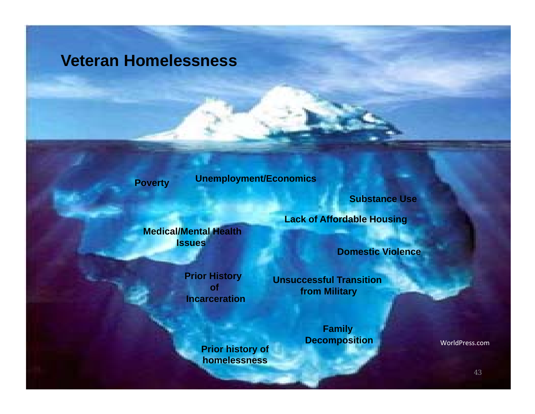### **Veteran Homelessness**

**Poverty Unemployment/Economics**

**Substance Use**

**Medical/Mental Health Issues** 

> **Prior History ofIncarceration**

> > **Prior history of homelessness**

**Lack of Affordable Housing**

**Domestic Violence**

**Unsuccessful Transition from Military**

> **Family Decomposition**

WorldPress.com

43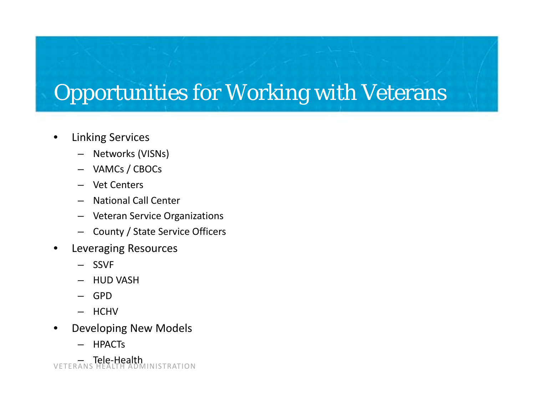# Opportunities for Working with Veterans

- $\bullet$  Linking Services
	- Networks (VISNs)
	- VAMCs / CBOCs
	- Vet Centers
	- National Call Center
	- Veteran Service Organizations
	- County / State Service Officers
- • Leveraging Resources
	- SSVF
	- HUD VASH
	- GPD
	- HCHV
- • Developing New Models
	- **HPACTs**

VETERANS HEALTH ADMINISTRATION – Tele‐Health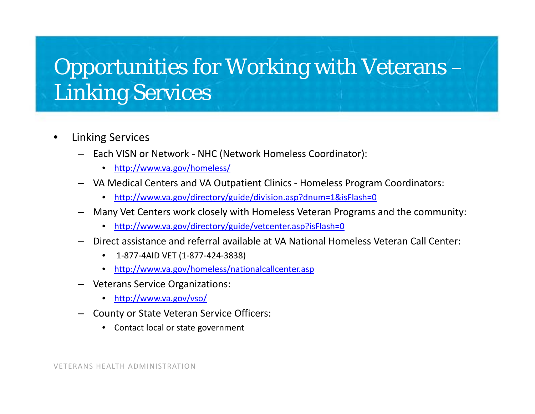# Opportunities for Working with Veterans – Linking Services

- • Linking Services
	- Each VISN or Network ‐ NHC (Network Homeless Coordinator):
		- $\bullet$ http://www.va.gov/homeless/
	- VA Medical Centers and VA Outpatient Clinics ‐ Homeless Program Coordinators:
		- http://www.va.gov/directory/guide/division.asp?dnum=1&isFlash=0
	- Many Vet Centers work closely with Homeless Veteran Programs and the community:
		- http://www.va.gov/directory/guide/vetcenter.asp?isFlash=0
	- Direct assistance and referral available at VA National Homeless Veteran Call Center:
		- $\bullet$ 1‐877‐4AID VET (1‐877‐424‐3838)
		- http://www.va.gov/homeless/nationalcallcenter.asp
	- Veterans Service Organizations:
		- http://www.va.gov/vso/
	- County or State Veteran Service Officers:
		- Contact local or state government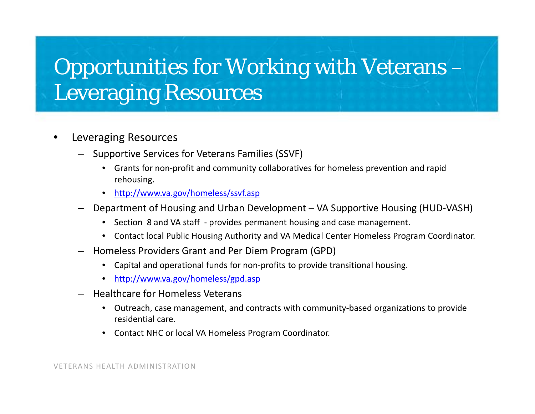# Opportunities for Working with Veterans – Leveraging Resources

- • Leveraging Resources
	- Supportive Services for Veterans Families (SSVF)
		- Grants for non‐profit and community collaboratives for homeless prevention and rapid rehousing.
		- http://www.va.gov/homeless/ssvf.asp
	- Department of Housing and Urban Development VA Supportive Housing (HUD‐VASH)
		- Section 8 and VA staff ‐ provides permanent housing and case management.
		- Contact local Public Housing Authority and VA Medical Center Homeless Program Coordinator.
	- $-$  Homeless Providers Grant and Per Diem Program (GPD)
		- $\bullet$ Capital and operational funds for non‐profits to provide transitional housing.
		- http://www.va.gov/homeless/gpd.asp
	- Healthcare for Homeless Veterans
		- Outreach, case management, and contracts with community‐based organizations to provide residential care.
		- Contact NHC or local VA Homeless Program Coordinator.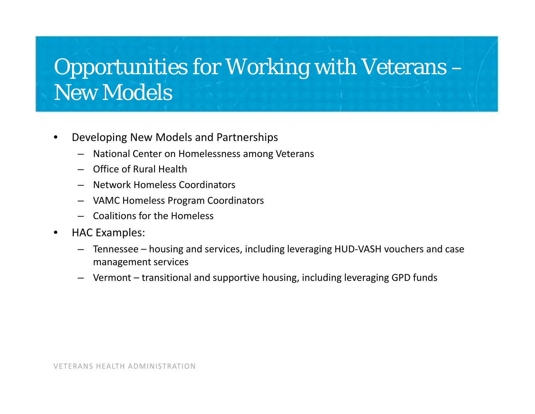# Opportunities for Working with Veterans – New Models

- • Developing New Models and Partnerships
	- National Center on Homelessness among Veterans
	- Office of Rural Health
	- Network Homeless Coordinators
	- VAMC Homeless Program Coordinators
	- Coalitions for the Homeless
- •• HAC Examples:
	- Tennessee housing and services, including leveraging HUD‐VASH vouchers and case management services
	- Vermont transitional and supportive housing, including leveraging GPD funds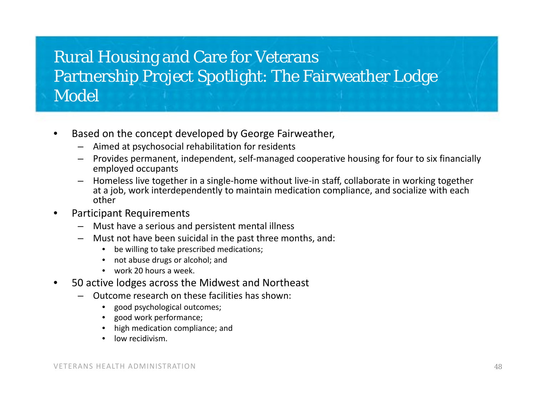## Rural Housing and Care for Veterans Partnership Project Spotlight: The Fairweather Lodge Model

- •**•** Based on the concept developed by George Fairweather,
	- –Aimed at psychosocial rehabilitation for residents
	- Provides permanent, independent, self‐managed cooperative housing for four to six financially employed occupants
	- – Homeless live together in <sup>a</sup> single‐home without live‐in staff, collaborate in working together at a job, work interdependently to maintain medication compliance, and socialize with each other
- • Participant Requirements
	- Must have <sup>a</sup> serious and persistent mental illness
	- – Must not have been suicidal in the past three months, and:
		- •be willing to take prescribed medications;
		- •• not abuse drugs or alcohol; and
		- work 20 hours <sup>a</sup> week.
- $\bullet$  50 active lodges across the Midwest and Northeast
	- – Outcome research on these facilities has shown:
		- $\bullet$ good psychological outcomes;
		- •good work performance;
		- •high medication compliance; and
		- •• low recidivism.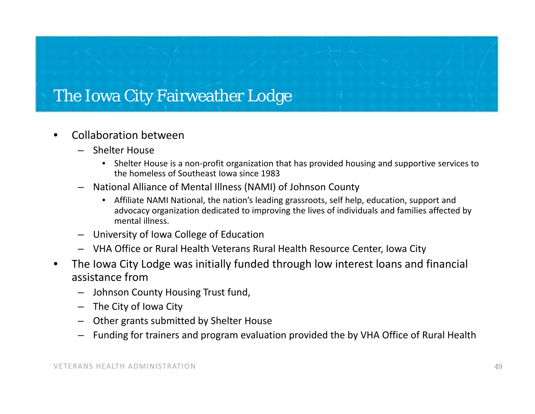### The Iowa City Fairweather Lodge

- •**•** Collaboration between
	- Shelter House
		- Shelter House is <sup>a</sup> non‐profit organization that has provided housing and supportive services to the homeless of Southeast Iowa since 1983
	- National Alliance of Mental Illness (NAMI) of Johnson County
		- $\bullet$  Affiliate NAMI National, the nation's leading grassroots, self help, education, support and advocacy organization dedicated to improving the lives of individuals and families affected by mental illness.
	- University of Iowa College of Education
	- VHA Office or Rural Health Veterans Rural Health Resource Center, Iowa City
- • The Iowa City Lodge was initially funded through low interest loans and financial assistance from
	- Johnson County Housing Trust fund,
	- The City of Iowa City
	- Other grants submitted by Shelter House
	- Funding for trainers and program evaluation provided the by VHA Office of Rural Health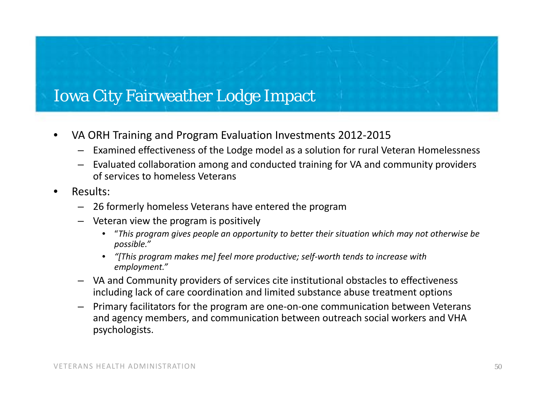### Iowa City Fairweather Lodge Impact

- •● VA ORH Training and Program Evaluation Investments 2012-2015
	- Examined effectiveness of the Lodge model as <sup>a</sup> solution for rural Veteran Homelessness
	- Evaluated collaboration among and conducted training for VA and community providers of services to homeless Veterans
- • Results:
	- 26 formerly homeless Veterans have entered the program
	- Veteran view the program is positively
		- • "*This program gives people an opportunity to better their situation which may not otherwise be possible."*
		- • *"[This program makes me] feel more productive; self‐worth tends to increase with employment."*
	- VA and Community providers of services cite institutional obstacles to effectiveness including lack of care coordination and limited substance abuse treatment options
	- Primary facilitators for the program are one‐on‐one communication between Veterans and agency members, and communication between outreach social workers and VHA psychologists.